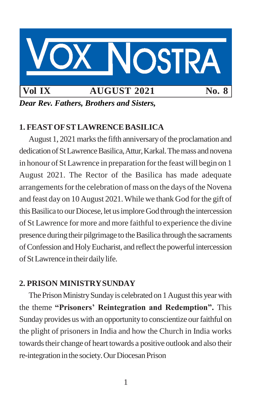

*Dear Rev. Fathers, Brothers and Sisters,*

# **1. FEASTOFSTLAWRENCEBASILICA**

August 1, 2021 marks the fifth anniversary of the proclamation and dedication of St Lawrence Basilica, Attur, Karkal. The mass and novena in honour of St Lawrence in preparation forthe feast will begin on 1 August 2021. The Rector of the Basilica has made adequate arrangements for the celebration of mass on the days of the Novena and feast day on 10 August 2021.While we thank God forthe gift of this Basilica to our Diocese, let us implore God through the intercession of St Lawrence for more and more faithful to experience the divine presence during their pilgrimage to the Basilica through the sacraments of Confession and Holy Eucharist, and reflect the powerful intercession of St Lawrence in their daily life.

# **2. PRISON MINISTRYSUNDAY**

The Prison Ministry Sunday is celebrated on 1 August this year with the theme **"Prisoners' Reintegration and Redemption".** This Sunday provides us with an opportunity to conscientize our faithful on the plight of prisoners in India and how the Church in India works towards their change of heart towards a positive outlook and also their re-integration in the society. Our Diocesan Prison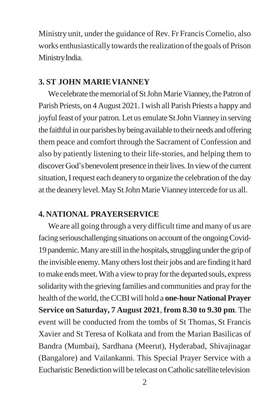Ministry unit, under the guidance of Rev. Fr Francis Cornelio, also works enthusiastically towards the realization of the goals of Prison MinistryIndia.

#### **3. ST JOHN MARIEVIANNEY**

We celebrate the memorial of St John Marie Vianney, the Patron of Parish Priests, on 4 August 2021. I wish all Parish Priests a happy and joyful feast of your patron. Let us emulate St John Vianney in serving the faithful in our parishes by being available to their needs and offering them peace and comfort through the Sacrament of Confession and also by patiently listening to their life-stories, and helping them to discover God's benevolent presence in their lives. In view of the current situation, I request each deanery to organize the celebration of the day at the deanery level. May St John Marie Vianney intercede for us all.

### **4. NATIONAL PRAYERSERVICE**

Weare all going through a very difficult time and many of us are facing seriouschallenging situations on account of the ongoing Covid-19 pandemic. Many are still in the hospitals, struggling under the grip of the invisible enemy. Many others lost their jobs and are finding it hard tomake endsmeet.With a viewto pray forthe departed souls, express solidaritywith the grieving families and communities and pray forthe health of the world, theCCBIwill hold a **one-hour National Prayer Service on Saturday, 7 August 2021**, **from 8.30 to 9.30 pm**. The event will be conducted from the tombs of St Thomas, St Francis Xavier and St Teresa of Kolkata and from the Marian Basilicas of Bandra (Mumbai), Sardhana (Meerut), Hyderabad, Shivajinagar (Bangalore) and Vailankanni. This Special Prayer Service with a Eucharistic Benediction will be telecast on Catholic satellite television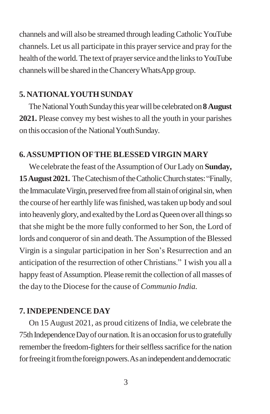channels and will also be streamed through leading Catholic YouTube channels. Let us all participate in this prayer service and pray for the health of the world. The text of prayer service and the links to YouTube channelswill be shared in theChanceryWhatsApp group.

## **5. NATIONALYOUTHSUNDAY**

The National Youth Sunday this year will be celebrated on **8 August 2021.** Please convey my best wishes to all the youth in your parishes on this occasion of the National Youth Sunday.

## **6.ASSUMPTION OFTHE BLESSED VIRGIN MARY**

We celebrate the feast of the Assumption of Our Lady on **Sunday, 15August 2021.** TheCatechismoftheCatholicChurchstates:"Finally, the Immaculate Virgin, preserved free from all stain of original sin, when the course of her earthly life was finished, was taken up body and soul into heavenly glory, and exalted by the Lord as Queen over all things so thatshe might be the more fully conformed to her Son, the Lord of lords and conqueror of sin and death. The Assumption of the Blessed Virgin is a singular participation in her Son's Resurrection and an anticipation of the resurrection of other Christians." I wish you all a happy feast of Assumption. Please remit the collection of all masses of the day to the Diocese for the cause of *Communio India.*

# **7.INDEPENDENCE DAY**

On 15 August 2021, as proud citizens of India, we celebrate the 75th Independence Day of our nation. It is an occasion for us to gratefully remember the freedom-fighters for their selfless sacrifice for the nation for freeing it from the foreign powers. As an independent and democratic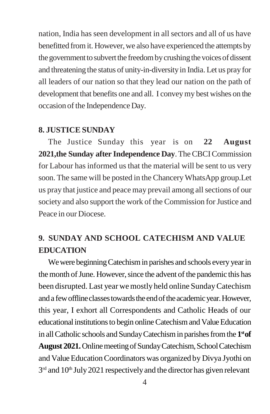nation, India has seen development in allsectors and all of us have benefitted from it. However, we also have experienced the attempts by the government to subvert the freedom by crushing the voices of dissent and threatening the status of unity-in-diversityin India. Let us pray for all leaders of our nation so that they lead our nation on the path of development that benefits one and all. I convey my best wishes on the occasion of the Independence Day.

## **8. JUSTICE SUNDAY**

The Justice Sunday this year is on **22 August 2021,the Sunday after Independence Day**.TheCBCICommission for Labour has informed us that the material will be sent to us very soon. The same will be posted in the Chancery WhatsApp group. Let us pray that justice and peace may prevail among allsections of our society and also support the work of the Commission for Justice and Peace in our Diocese.

# **9. SUNDAY AND SCHOOL CATECHISM AND VALUE EDUCATION**

We were beginning Catechism in parishes and schools every year in the month of June. However, since the advent of the pandemic this has been disrupted. Last year we mostly held online SundayCatechism and a few offline classes towards the end of the academic year. However, this year, I exhort all Correspondents and Catholic Heads of our educational institutions to begin online Catechism and Value Education in allCatholic schools and SundayCatechismin parishesfromthe **1 stof**  August 2021. Online meeting of Sunday Catechism, School Catechism and Value Education Coordinators was organized by Divya Jyothi on  $3<sup>rd</sup>$  and  $10<sup>th</sup>$  July 2021 respectively and the director has given relevant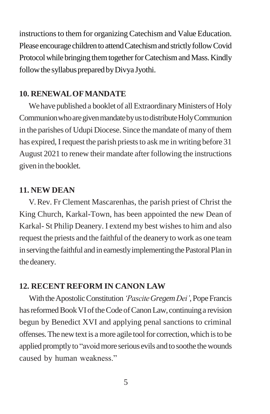instructions to them for organizing Catechism and Value Education. Please encourage children to attend Catechism and strictly follow Covid Protocol while bringing them together for Catechism and Mass. Kindly follow the syllabus prepared by Divya Jyothi.

## **10. RENEWALOFMANDATE**

We have published a booklet of all Extraordinary Ministers of Holy Communion who are given mandate by us to distribute Holy Communion in the parishes of Udupi Diocese. Since the mandate of many of them has expired, I request the parish priests to ask me in writing before 31 August 2021 to renew their mandate after following the instructions givenin thebooklet.

# **11. NEW DEAN**

V.Rev. Fr Clement Mascarenhas, the parish priest of Christ the King Church, Karkal-Town, has been appointed the new Dean of Karkal- St Philip Deanery. I extend my best wishes to him and also request the priests and the faithful of the deanery to work as one team in serving the faithful and in earnestly implementing the Pastoral Plan in the deanery.

# **12. RECENT REFORM IN CANON LAW**

With the Apostolic Constitution *'Pascite Gregem Dei'*, Pope Francis has reformed Book VI of the Code of Canon Law, continuing a revision begun by Benedict XVI and applying penal sanctions to criminal offenses.The newtextis a more agile toolfor correction,which isto be applied promptly to "avoid more serious evils and to soothe the wounds caused by human weakness."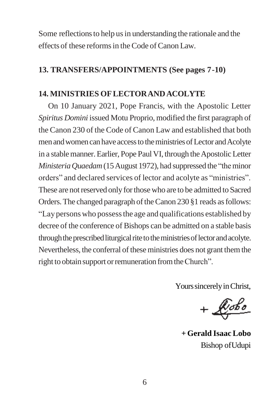Some reflections to help us in understanding the rationale and the effects of these reformsin theCode ofCanon Law.

### **13. TRANSFERS/APPOINTMENTS (See pages 7-10)**

## **14. MINISTRIES OFLECTORANDACOLYTE**

On 10 January 2021, Pope Francis, with the Apostolic Letter *Spiritus Domini* issued Motu Proprio, modified the first paragraph of the Canon 230 of the Code of Canon Law and established that both men and women can have access to the ministries of Lector and Acolyte in a stable manner. Earlier, Pope Paul VI, through the Apostolic Letter *Ministeria Quaedam* (15 August 1972), had suppressed the "the minor" orders" and declared services of lector and acolyte as "ministries". These are not reserved only for those who are to be admitted to Sacred Orders. The changed paragraph of the Canon 230 §1 reads as follows: "Laypersonswho possessthe age and qualifications established by decree of the conference of Bishops can be admitted on a stable basis through the prescribed liturgical rite to the ministries of lector and acolyte. Nevertheless, the conferral of these ministries does not grant them the right to obtain support or remuneration from the Church".

Yours sincerely in Christ,

 $+$  $\n *Kobo*\n$ 

**+ Gerald Isaac Lobo** Bishop ofUdupi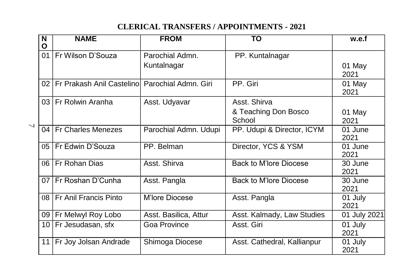# **CLERICAL TRANSFERS / APPOINTMENTS - 2021**

|                          | N<br>O | <b>NAME</b>                                           | <b>FROM</b>           | TO                             | w.e.f           |
|--------------------------|--------|-------------------------------------------------------|-----------------------|--------------------------------|-----------------|
|                          |        | 01 Fr Wilson D'Souza                                  | Parochial Admn.       | PP. Kuntalnagar                |                 |
|                          |        |                                                       | Kuntalnagar           |                                | 01 May<br>2021  |
|                          |        | 02   Fr Prakash Anil Castelino   Parochial Admn. Giri |                       | PP. Giri                       | 01 May<br>2021  |
|                          |        | 03   Fr Rolwin Aranha                                 | Asst. Udyavar         | Asst. Shirva                   |                 |
|                          |        |                                                       |                       | & Teaching Don Bosco<br>School | 01 May<br>2021  |
| $\overline{\phantom{0}}$ |        | 04 Fr Charles Menezes                                 | Parochial Admn. Udupi | PP. Udupi & Director, ICYM     | 01 June<br>2021 |
|                          |        | 05   Fr Edwin D'Souza                                 | PP. Belman            | Director, YCS & YSM            | 01 June<br>2021 |
|                          |        | 06 Fr Rohan Dias                                      | Asst. Shirva          | <b>Back to M'lore Diocese</b>  | 30 June<br>2021 |
|                          |        | 07 Fr Roshan D'Cunha                                  | Asst. Pangla          | <b>Back to M'lore Diocese</b>  | 30 June<br>2021 |
|                          |        | 08   Fr Anil Francis Pinto                            | M'lore Diocese        | Asst. Pangla                   | 01 July<br>2021 |
|                          |        | 09   Fr Melwyl Roy Lobo                               | Asst. Basilica, Attur | Asst. Kalmady, Law Studies     | 01 July 2021    |
|                          |        | 10   Fr Jesudasan, sfx                                | Goa Province          | Asst. Giri                     | 01 July<br>2021 |
|                          |        | 11   Fr Joy Jolsan Andrade                            | Shimoga Diocese       | Asst. Cathedral, Kallianpur    | 01 July<br>2021 |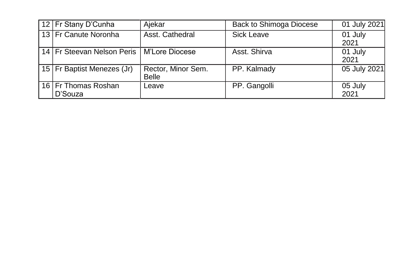| 12   Fr Stany D'Cunha                         | Ajekar                             | <b>Back to Shimoga Diocese</b> | 01 July 2021    |
|-----------------------------------------------|------------------------------------|--------------------------------|-----------------|
| 13 Fr Canute Noronha                          | Asst. Cathedral                    | Sick Leave                     | 01 July<br>2021 |
| 14   Fr Steevan Nelson Peris   M'Lore Diocese |                                    | Asst. Shirva                   | 01 July<br>2021 |
| 15   Fr Baptist Menezes (Jr)                  | Rector, Minor Sem.<br><b>Belle</b> | PP. Kalmady                    | 05 July 2021    |
| 16 Fr Thomas Roshan<br>D'Souza                | Leave                              | PP. Gangolli                   | 05 July<br>2021 |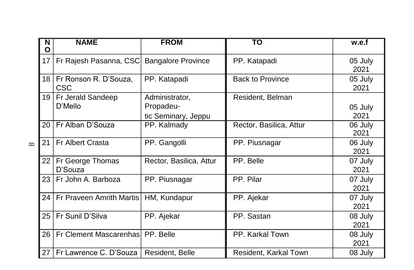|          | N<br>O          | <b>NAME</b>                         | <b>FROM</b>                                        | TO                      | w.e.f           |
|----------|-----------------|-------------------------------------|----------------------------------------------------|-------------------------|-----------------|
| $\infty$ | 17              | Fr Rajesh Pasanna, CSC              | <b>Bangalore Province</b>                          | PP. Katapadi            | 05 July<br>2021 |
|          | 18 I            | Fr Ronson R. D'Souza,<br><b>CSC</b> | PP. Katapadi                                       | <b>Back to Province</b> | 05 July<br>2021 |
|          | 19              | Fr Jerald Sandeep<br>D'Mello        | Administrator,<br>Propadeu-<br>tic Seminary, Jeppu | Resident, Belman        | 05 July<br>2021 |
|          | 20              | Fr Alban D'Souza                    | PP. Kalmady                                        | Rector, Basilica, Attur | 06 July<br>2021 |
|          | 21              | Fr Albert Crasta                    | PP. Gangolli                                       | PP. Piusnagar           | 06 July<br>2021 |
|          | 22              | Fr George Thomas<br>D'Souza         | Rector, Basilica, Attur                            | PP. Belle               | 07 July<br>2021 |
|          | 23              | Fr John A. Barboza                  | PP. Piusnagar                                      | PP. Pilar               | 07 July<br>2021 |
|          | 24 <sub>1</sub> | Fr Praveen Amrith Martis            | HM, Kundapur                                       | PP. Ajekar              | 07 July<br>2021 |
|          | 25              | Fr Sunil D'Silva                    | PP. Ajekar                                         | PP. Sastan              | 08 July<br>2021 |
|          | 26              | Fr Clement Mascarenhas              | PP. Belle                                          | PP. Karkal Town         | 08 July<br>2021 |
|          | 27              | Fr Lawrence C. D'Souza              | Resident, Belle                                    | Resident, Karkal Town   | 08 July         |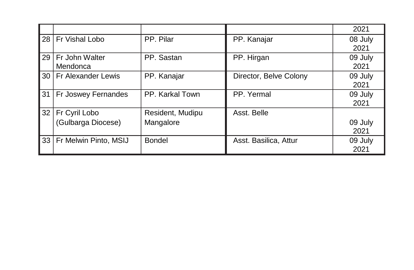|                 |                         |                  |                        | 2021    |
|-----------------|-------------------------|------------------|------------------------|---------|
| 28 <sup>1</sup> | <b>Fr Vishal Lobo</b>   | PP. Pilar        | PP. Kanajar            | 08 July |
|                 |                         |                  |                        | 2021    |
| 29              | Fr John Walter          | PP. Sastan       | PP. Hirgan             | 09 July |
|                 | Mendonca                |                  |                        | 2021    |
|                 | 30   Fr Alexander Lewis | PP. Kanajar      | Director, Belve Colony | 09 July |
|                 |                         |                  |                        | 2021    |
| 31              | Fr Joswey Fernandes     | PP. Karkal Town  | PP. Yermal             | 09 July |
|                 |                         |                  |                        | 2021    |
| 32              | Fr Cyril Lobo           | Resident, Mudipu | Asst. Belle            |         |
|                 | (Gulbarga Diocese)      | Mangalore        |                        | 09 July |
|                 |                         |                  |                        | 2021    |
| 33              | Fr Melwin Pinto, MSIJ   | <b>Bondel</b>    | Asst. Basilica, Attur  | 09 July |
|                 |                         |                  |                        | 2021    |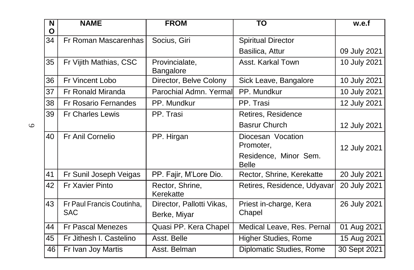| N<br>O | <b>NAME</b>                 | <b>FROM</b>                  | <b>TO</b>                             | w.e.f        |
|--------|-----------------------------|------------------------------|---------------------------------------|--------------|
| 34     | Fr Roman Mascarenhas        | Socius, Giri                 | <b>Spiritual Director</b>             |              |
|        |                             |                              | Basilica, Attur                       | 09 July 2021 |
| 35     | Fr Vijith Mathias, CSC      | Provincialate,<br>Bangalore  | Asst. Karkal Town                     | 10 July 2021 |
| 36     | Fr Vincent Lobo             | Director, Belve Colony       | Sick Leave, Bangalore                 | 10 July 2021 |
| 37     | Fr Ronald Miranda           | Parochial Admn. Yermal       | PP. Mundkur                           | 10 July 2021 |
| 38     | <b>Fr Rosario Fernandes</b> | PP. Mundkur                  | PP. Trasi                             | 12 July 2021 |
| 39     | <b>Fr Charles Lewis</b>     | PP. Trasi                    | Retires, Residence                    |              |
|        |                             |                              | <b>Basrur Church</b>                  | 12 July 2021 |
| 40     | Fr Anil Cornelio            | PP. Hirgan                   | Diocesan Vocation<br>Promoter,        | 12 July 2021 |
|        |                             |                              | Residence, Minor Sem.<br><b>Belle</b> |              |
| 41     | Fr Sunil Joseph Veigas      | PP. Fajir, M'Lore Dio.       | Rector, Shrine, Kerekatte             | 20 July 2021 |
| 42     | Fr Xavier Pinto             | Rector, Shrine,<br>Kerekatte | Retires, Residence, Udyavar           | 20 July 2021 |
| 43     | Fr Paul Francis Coutinha,   | Director, Pallotti Vikas,    | Priest in-charge, Kera                | 26 July 2021 |
|        | <b>SAC</b>                  | Berke, Miyar                 | Chapel                                |              |
| 44     | Fr Pascal Menezes           | Quasi PP. Kera Chapel        | Medical Leave, Res. Pernal            | 01 Aug 2021  |
| 45     | Fr Jithesh I. Castelino     | Asst. Belle                  | <b>Higher Studies, Rome</b>           | 15 Aug 2021  |
| 46     | Fr Ivan Joy Martis          | Asst. Belman                 | Diplomatic Studies, Rome              | 30 Sept 2021 |

 $\circ$